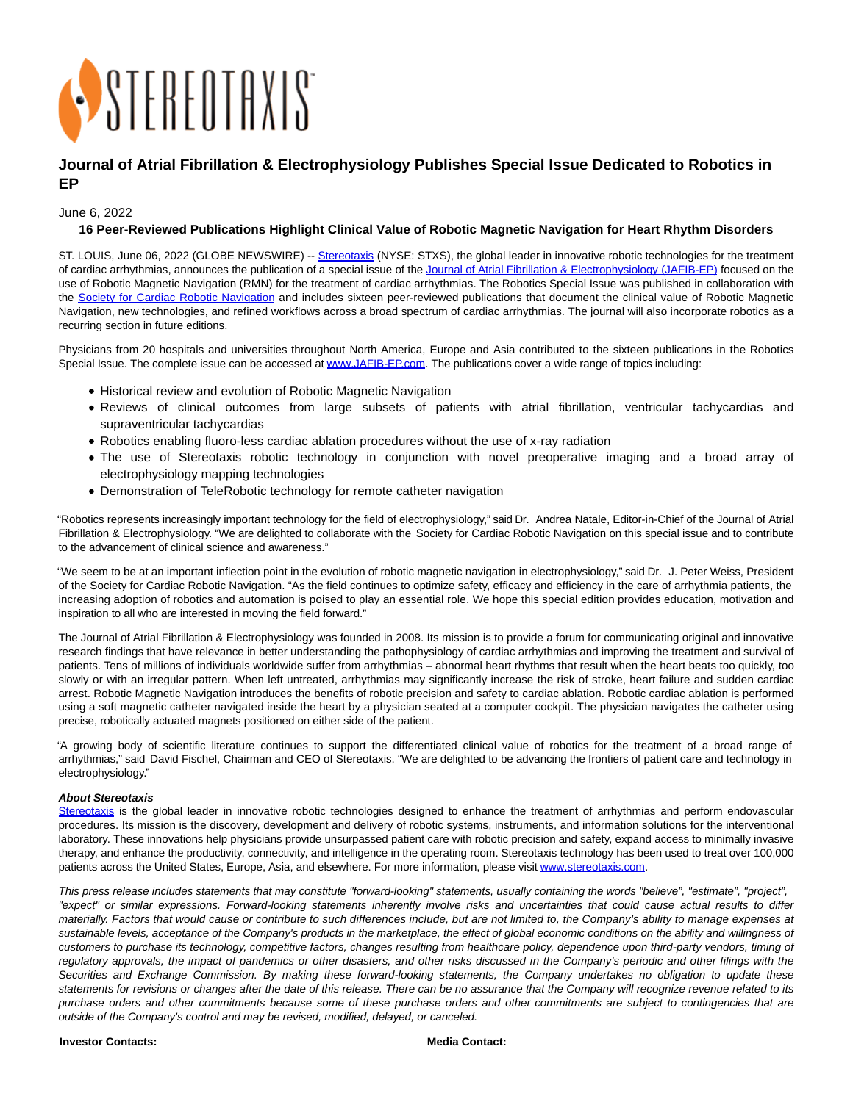

## **Journal of Atrial Fibrillation & Electrophysiology Publishes Special Issue Dedicated to Robotics in EP**

June 6, 2022

## **16 Peer-Reviewed Publications Highlight Clinical Value of Robotic Magnetic Navigation for Heart Rhythm Disorders**

ST. LOUIS, June 06, 2022 (GLOBE NEWSWIRE) -[- Stereotaxis \(](https://www.globenewswire.com/Tracker?data=4wuzx70zcWxJMN61FUuxBm7ZjAhQ6YfnBAb_GgLJKCAdJWospva63odate8rTG5Kf3Zl1Qe2ib3jfqt56IKR9A==)NYSE: STXS), the global leader in innovative robotic technologies for the treatment of cardiac arrhythmias, announces the publication of a special issue of the [Journal of Atrial Fibrillation & Electrophysiology \(JAFIB-EP\) f](https://www.globenewswire.com/Tracker?data=oOcftyR4g2m-Ec6bTZnRuiflhP64Lg7Z_dbHTpnomFRXLbL30g2DV6BChy_wfFz_7bEPFufMr46BY0UUfO17wnhyGb4y8YYlcC-fTt7cwjdIQUzSoK1RV2frY1iCF20__gb740y626WzLxbTFIKffA==)ocused on the use of Robotic Magnetic Navigation (RMN) for the treatment of cardiac arrhythmias. The Robotics Special Issue was published in collaboration with the [Society for Cardiac Robotic Navigation](https://www.globenewswire.com/Tracker?data=PSKQji8YY9LZf1vrth7WAvEMhVERjoz-7SiuZYCl-YN_j8fg-RDTY_zVjGAbtVYSIbnsXt2PjR47UiUqVCjbc0CWjlM1H0R4JNwW_M_XArHVww17vCiLs1nuemU-SRuj) and includes sixteen peer-reviewed publications that document the clinical value of Robotic Magnetic Navigation, new technologies, and refined workflows across a broad spectrum of cardiac arrhythmias. The journal will also incorporate robotics as a recurring section in future editions.

Physicians from 20 hospitals and universities throughout North America, Europe and Asia contributed to the sixteen publications in the Robotics Special Issue. The complete issue can be accessed at [www.JAFIB-EP.com.](https://www.globenewswire.com/Tracker?data=Td2_Exx3c5GqhWi2nv3VB1zZ-r5nQvrVqR1SKCXrYEPEq2lqHQxz2D7jnyllF990Fh_Nw31DfolFz17FHQIstw==) The publications cover a wide range of topics including:

- Historical review and evolution of Robotic Magnetic Navigation
- Reviews of clinical outcomes from large subsets of patients with atrial fibrillation, ventricular tachycardias and supraventricular tachycardias
- Robotics enabling fluoro-less cardiac ablation procedures without the use of x-ray radiation
- The use of Stereotaxis robotic technology in conjunction with novel preoperative imaging and a broad array of electrophysiology mapping technologies
- Demonstration of TeleRobotic technology for remote catheter navigation

"Robotics represents increasingly important technology for the field of electrophysiology," said Dr. Andrea Natale, Editor-in-Chief of the Journal of Atrial Fibrillation & Electrophysiology. "We are delighted to collaborate with the Society for Cardiac Robotic Navigation on this special issue and to contribute to the advancement of clinical science and awareness."

"We seem to be at an important inflection point in the evolution of robotic magnetic navigation in electrophysiology," said Dr. J. Peter Weiss, President of the Society for Cardiac Robotic Navigation. "As the field continues to optimize safety, efficacy and efficiency in the care of arrhythmia patients, the increasing adoption of robotics and automation is poised to play an essential role. We hope this special edition provides education, motivation and inspiration to all who are interested in moving the field forward."

The Journal of Atrial Fibrillation & Electrophysiology was founded in 2008. Its mission is to provide a forum for communicating original and innovative research findings that have relevance in better understanding the pathophysiology of cardiac arrhythmias and improving the treatment and survival of patients. Tens of millions of individuals worldwide suffer from arrhythmias – abnormal heart rhythms that result when the heart beats too quickly, too slowly or with an irregular pattern. When left untreated, arrhythmias may significantly increase the risk of stroke, heart failure and sudden cardiac arrest. Robotic Magnetic Navigation introduces the benefits of robotic precision and safety to cardiac ablation. Robotic cardiac ablation is performed using a soft magnetic catheter navigated inside the heart by a physician seated at a computer cockpit. The physician navigates the catheter using precise, robotically actuated magnets positioned on either side of the patient.

"A growing body of scientific literature continues to support the differentiated clinical value of robotics for the treatment of a broad range of arrhythmias," said David Fischel, Chairman and CEO of Stereotaxis. "We are delighted to be advancing the frontiers of patient care and technology in electrophysiology."

## **About Stereotaxis**

[Stereotaxis](https://www.globenewswire.com/Tracker?data=4wuzx70zcWxJMN61FUuxBmNHnZ63PXvzzcOC6xUKHkKpzRuU9iXeCJ_VD1ZqgC_0ZoJiekOUf5bvraQTDDAVyQ==) is the global leader in innovative robotic technologies designed to enhance the treatment of arrhythmias and perform endovascular procedures. Its mission is the discovery, development and delivery of robotic systems, instruments, and information solutions for the interventional laboratory. These innovations help physicians provide unsurpassed patient care with robotic precision and safety, expand access to minimally invasive therapy, and enhance the productivity, connectivity, and intelligence in the operating room. Stereotaxis technology has been used to treat over 100,000 patients across the United States, Europe, Asia, and elsewhere. For more information, please visi[t www.stereotaxis.com.](https://www.globenewswire.com/Tracker?data=Z0s3JVniRFfHQAuKMSb19haTyCpnjth09qZXCni1cnaKdHSz3HOlu3FcW6D9FJj6rXltnbj_pwTKqQem_XgkQvQkul9BE1TT2EpQK06PHOA=)

This press release includes statements that may constitute "forward-looking" statements, usually containing the words "believe", "estimate", "project", "expect" or similar expressions. Forward-looking statements inherently involve risks and uncertainties that could cause actual results to differ materially. Factors that would cause or contribute to such differences include, but are not limited to, the Company's ability to manage expenses at sustainable levels, acceptance of the Company's products in the marketplace, the effect of global economic conditions on the ability and willingness of customers to purchase its technology, competitive factors, changes resulting from healthcare policy, dependence upon third-party vendors, timing of regulatory approvals, the impact of pandemics or other disasters, and other risks discussed in the Company's periodic and other filings with the Securities and Exchange Commission. By making these forward-looking statements, the Company undertakes no obligation to update these statements for revisions or changes after the date of this release. There can be no assurance that the Company will recognize revenue related to its purchase orders and other commitments because some of these purchase orders and other commitments are subject to contingencies that are outside of the Company's control and may be revised, modified, delayed, or canceled.